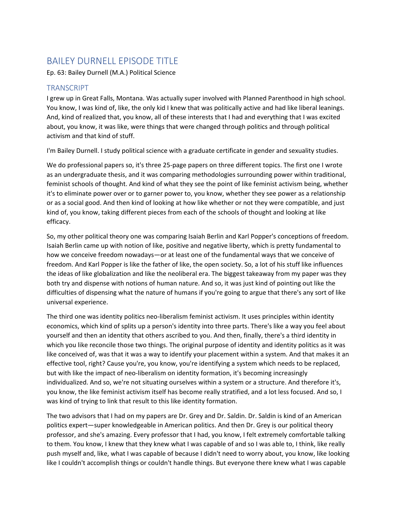## BAILEY DURNELL EPISODE TITLE

Ep. 63: Bailey Durnell (M.A.) Political Science

## **TRANSCRIPT**

I grew up in Great Falls, Montana. Was actually super involved with Planned Parenthood in high school. You know, I was kind of, like, the only kid I knew that was politically active and had like liberal leanings. And, kind of realized that, you know, all of these interests that I had and everything that I was excited about, you know, it was like, were things that were changed through politics and through political activism and that kind of stuff.

I'm Bailey Durnell. I study political science with a graduate certificate in gender and sexuality studies.

We do professional papers so, it's three 25-page papers on three different topics. The first one I wrote as an undergraduate thesis, and it was comparing methodologies surrounding power within traditional, feminist schools of thought. And kind of what they see the point of like feminist activism being, whether it's to eliminate power over or to garner power to, you know, whether they see power as a relationship or as a social good. And then kind of looking at how like whether or not they were compatible, and just kind of, you know, taking different pieces from each of the schools of thought and looking at like efficacy.

So, my other political theory one was comparing Isaiah Berlin and Karl Popper's conceptions of freedom. Isaiah Berlin came up with notion of like, positive and negative liberty, which is pretty fundamental to how we conceive freedom nowadays—or at least one of the fundamental ways that we conceive of freedom. And Karl Popper is like the father of like, the open society. So, a lot of his stuff like influences the ideas of like globalization and like the neoliberal era. The biggest takeaway from my paper was they both try and dispense with notions of human nature. And so, it was just kind of pointing out like the difficulties of dispensing what the nature of humans if you're going to argue that there's any sort of like universal experience.

The third one was identity politics neo-liberalism feminist activism. It uses principles within identity economics, which kind of splits up a person's identity into three parts. There's like a way you feel about yourself and then an identity that others ascribed to you. And then, finally, there's a third identity in which you like reconcile those two things. The original purpose of identity and identity politics as it was like conceived of, was that it was a way to identify your placement within a system. And that makes it an effective tool, right? Cause you're, you know, you're identifying a system which needs to be replaced, but with like the impact of neo-liberalism on identity formation, it's becoming increasingly individualized. And so, we're not situating ourselves within a system or a structure. And therefore it's, you know, the like feminist activism itself has become really stratified, and a lot less focused. And so, I was kind of trying to link that result to this like identity formation.

The two advisors that I had on my papers are Dr. Grey and Dr. Saldin. Dr. Saldin is kind of an American politics expert—super knowledgeable in American politics. And then Dr. Grey is our political theory professor, and she's amazing. Every professor that I had, you know, I felt extremely comfortable talking to them. You know, I knew that they knew what I was capable of and so I was able to, I think, like really push myself and, like, what I was capable of because I didn't need to worry about, you know, like looking like I couldn't accomplish things or couldn't handle things. But everyone there knew what I was capable